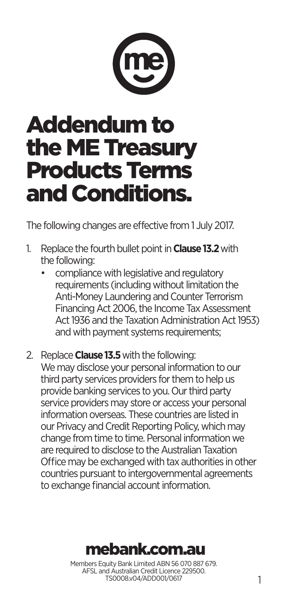

# Addendum to the ME Treasury Products Terms and Conditions.

The following changes are effective from 1 July 2017.

- 1. Replace the fourth bullet point in **Clause 13.2** with the following:
	- compliance with legislative and regulatory requirements (including without limitation the Anti-Money Laundering and Counter Terrorism Financing Act 2006, the Income Tax Assessment Act 1936 and the Taxation Administration Act 1953) and with payment systems requirements;
- 2. Replace **Clause 13.5** with the following: We may disclose your personal information to our third party services providers for them to help us provide banking services to you. Our third party service providers may store or access your personal information overseas. These countries are listed in our Privacy and Credit Reporting Policy, which may change from time to time. Personal information we are required to disclose to the Australian Taxation Office may be exchanged with tax authorities in other countries pursuant to intergovernmental agreements to exchange financial account information.

# mebank.com.au

Members Equity Bank Limited ABN 56 070 887 679. AFSL and Australian Credit Licence 229500. TS0008.v04/ADD001/0617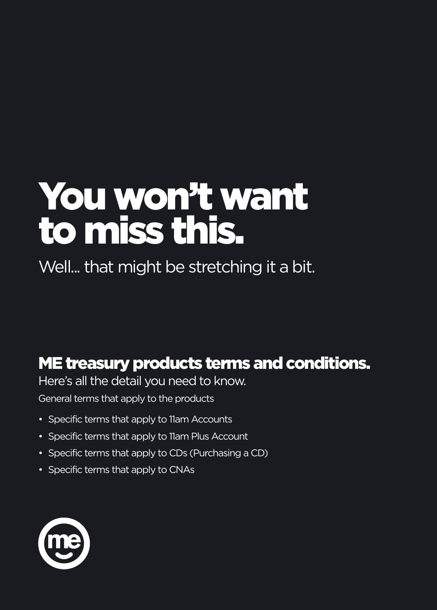# You won't want to miss this.

Well... that might be stretching it a bit.

# ME treasury products terms and conditions.

Here's all the detail you need to know.

General terms that apply to the products

- Specific terms that apply to 11am Accounts
- Specific terms that apply to 11am Plus Account
- Specific terms that apply to CDs (Purchasing a CD)
- Specific terms that apply to CNAs

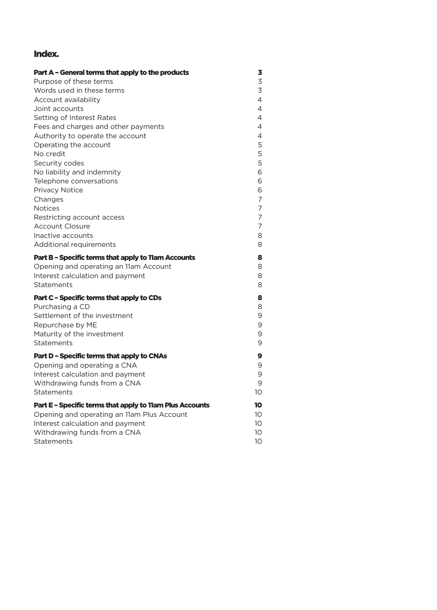# Index.

| Part A - General terms that apply to the products                         | 3              |
|---------------------------------------------------------------------------|----------------|
| Purpose of these terms                                                    | 3              |
| Words used in these terms                                                 | 3              |
| Account availability                                                      | $\overline{4}$ |
| Joint accounts                                                            | $\overline{4}$ |
| Setting of Interest Rates                                                 | 4              |
| Fees and charges and other payments                                       | $\overline{4}$ |
| Authority to operate the account                                          | 4              |
| Operating the account                                                     | 5              |
| No credit                                                                 | 5              |
| Security codes                                                            | 5              |
| No liability and indemnity                                                | 6              |
| Telephone conversations                                                   | 6              |
| Privacy Notice<br>Changes                                                 | 6<br>7         |
| <b>Notices</b>                                                            | 7              |
| Restricting account access                                                | 7              |
| <b>Account Closure</b>                                                    | 7              |
| Inactive accounts                                                         | 8              |
| Additional requirements                                                   | 8              |
|                                                                           |                |
| Part B - Specific terms that apply to 11am Accounts                       | 8              |
| Opening and operating an 11am Account<br>Interest calculation and payment | 8<br>8         |
| <b>Statements</b>                                                         | 8              |
|                                                                           |                |
| Part C - Specific terms that apply to CDs                                 | 8              |
| Purchasing a CD                                                           | 8              |
| Settlement of the investment                                              | 9              |
| Repurchase by ME                                                          | 9              |
| Maturity of the investment                                                | 9<br>9         |
| <b>Statements</b>                                                         |                |
| Part D - Specific terms that apply to CNAs                                | 9              |
| Opening and operating a CNA                                               | 9              |
| Interest calculation and payment                                          | 9              |
| Withdrawing funds from a CNA                                              | 9              |
| <b>Statements</b>                                                         | 10             |
| Part E - Specific terms that apply to 11am Plus Accounts                  | 10             |
| Opening and operating an 11am Plus Account                                | 10             |
| Interest calculation and payment                                          | 10             |
| Withdrawing funds from a CNA                                              | 10             |
| <b>Statements</b>                                                         | 10             |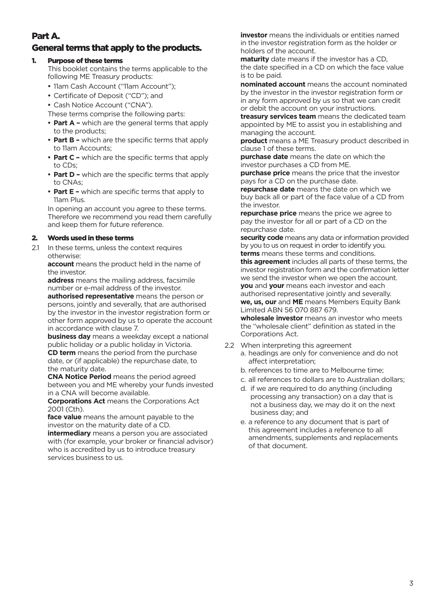# Part A.

# General terms that apply to the products.

#### 1. Purpose of these terms

This booklet contains the terms applicable to the following ME Treasury products:

- 11am Cash Account ("11am Account");
- Certificate of Deposit ("CD"); and
- Cash Notice Account ("CNA").
- These terms comprise the following parts:
- **Part A –** which are the general terms that apply to the products;
- Part B which are the specific terms that apply to 11am Accounts;
- **Part C -** which are the specific terms that apply to CDs;
- **Part D –** which are the specific terms that apply to CNAs;
- **Part E -** which are specific terms that apply to 11am Plus.

In opening an account you agree to these terms. Therefore we recommend you read them carefully and keep them for future reference.

#### 2. Words used in these terms

2.1 In these terms, unless the context requires otherwise:

**account** means the product held in the name of the investor.

**address** means the mailing address, facsimile number or e-mail address of the investor.

**authorised representative** means the person or persons, jointly and severally, that are authorised by the investor in the investor registration form or other form approved by us to operate the account in accordance with clause 7.

**business day** means a weekday except a national public holiday or a public holiday in Victoria. **CD term** means the period from the purchase date, or (if applicable) the repurchase date, to the maturity date.

**CNA Notice Period** means the period agreed between you and ME whereby your funds invested in a CNA will become available.

**Corporations Act** means the Corporations Act 2001 (Cth).

**face value** means the amount payable to the investor on the maturity date of a CD.

**intermediary** means a person you are associated with (for example, your broker or financial advisor) who is accredited by us to introduce treasury services business to us.

**investor** means the individuals or entities named in the investor registration form as the holder or holders of the account.

**maturity** date means if the investor has a CD, the date specified in a CD on which the face value is to be paid.

**nominated account** means the account nominated by the investor in the investor registration form or in any form approved by us so that we can credit or debit the account on your instructions.

**treasury services team** means the dedicated team appointed by ME to assist you in establishing and managing the account.

**product** means a ME Treasury product described in clause 1 of these terms.

**purchase date** means the date on which the investor purchases a CD from ME.

**purchase price** means the price that the investor pays for a CD on the purchase date.

**repurchase date** means the date on which we buy back all or part of the face value of a CD from the investor.

**repurchase price** means the price we agree to pay the investor for all or part of a CD on the repurchase date.

**security code** means any data or information provided by you to us on request in order to identify you. **terms** means these terms and conditions.

**this agreement** includes all parts of these terms, the investor registration form and the confirmation letter we send the investor when we open the account. **you** and **your** means each investor and each authorised representative jointly and severally. **we, us, our** and **ME** means Members Equity Bank Limited ABN 56 070 887 679.

**wholesale investor** means an investor who meets the "wholesale client" definition as stated in the Corporations Act.

- 2.2 When interpreting this agreement a. headings are only for convenience and do not affect interpretation;
	- b. references to time are to Melbourne time;
	- c. all references to dollars are to Australian dollars;
	- d. if we are required to do anything (including processing any transaction) on a day that is not a business day, we may do it on the next business day; and
	- e. a reference to any document that is part of this agreement includes a reference to all amendments, supplements and replacements of that document.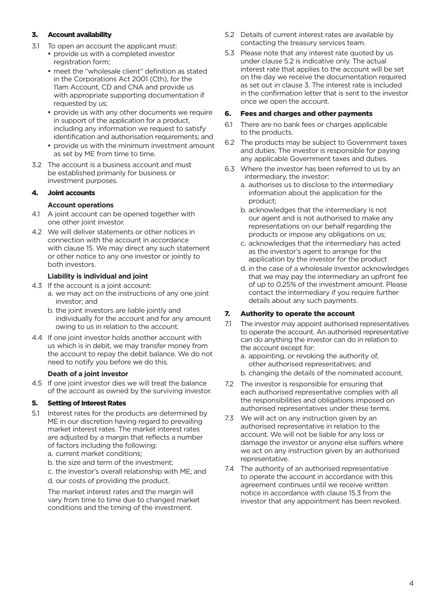#### 3. Account availability

- 3.1 To open an account the applicant must:
	- provide us with a completed investor registration form;
	- meet the "wholesale client" definition as stated in the Corporations Act 2001 (Cth), for the 11am Account, CD and CNA and provide us with appropriate supporting documentation if requested by us;
	- provide us with any other documents we require in support of the application for a product, including any information we request to satisfy identification and authorisation requirements; and
	- provide us with the minimum investment amount as set by ME from time to time.
- 3.2 The account is a business account and must be established primarily for business or investment purposes.

#### 4. Joint accounts

#### **Account operations**

- 4.1 A joint account can be opened together with one other joint investor.
- 4.2 We will deliver statements or other notices in connection with the account in accordance with clause 15. We may direct any such statement or other notice to any one investor or jointly to both investors.

#### **Liability is individual and joint**

- 4.3 If the account is a joint account:
	- a. we may act on the instructions of any one joint investor; and
	- b. the joint investors are liable jointly and individually for the account and for any amount owing to us in relation to the account.
- 4.4 If one joint investor holds another account with us which is in debit, we may transfer money from the account to repay the debit balance. We do not need to notify you before we do this.

#### **Death of a joint investor**

4.5 If one joint investor dies we will treat the balance of the account as owned by the surviving investor.

#### 5. Setting of Interest Rates

- 5.1 Interest rates for the products are determined by ME in our discretion having regard to prevailing market interest rates. The market interest rates are adjusted by a margin that reflects a number of factors including the following:
	- a. current market conditions;
	- b. the size and term of the investment;
	- c. the investor's overall relationship with ME; and
	- d. our costs of providing the product.

The market interest rates and the margin will vary from time to time due to changed market conditions and the timing of the investment.

- 5.2 Details of current interest rates are available by contacting the treasury services team.
- 5.3 Please note that any interest rate quoted by us under clause 5.2 is indicative only. The actual interest rate that applies to the account will be set on the day we receive the documentation required as set out in clause 3. The interest rate is included in the confirmation letter that is sent to the investor once we open the account.

#### 6. Fees and charges and other payments

- 6.1 There are no bank fees or charges applicable to the products.
- 6.2 The products may be subject to Government taxes and duties. The investor is responsible for paying any applicable Government taxes and duties.
- 6.3 Where the investor has been referred to us by an intermediary, the investor:
	- a. authorises us to disclose to the intermediary information about the application for the product;
	- b. acknowledges that the intermediary is not our agent and is not authorised to make any representations on our behalf regarding the products or impose any obligations on us;
	- c. acknowledges that the intermediary has acted as the investor's agent to arrange for the application by the investor for the product
	- d. in the case of a wholesale investor acknowledges that we may pay the intermediary an upfront fee of up to 0.25% of the investment amount. Please contact the intermediary if you require further details about any such payments.

#### 7. Authority to operate the account

- 7.1 The investor may appoint authorised representatives to operate the account. An authorised representative can do anything the investor can do in relation to the account except for:
	- a. appointing, or revoking the authority of, other authorised representatives; and
	- b. changing the details of the nominated account.
- 7.2 The investor is responsible for ensuring that each authorised representative complies with all the responsibilities and obligations imposed on authorised representatives under these terms.
- 7.3 We will act on any instruction given by an authorised representative in relation to the account. We will not be liable for any loss or damage the investor or anyone else suffers where we act on any instruction given by an authorised representative.
- 7.4 The authority of an authorised representative to operate the account in accordance with this agreement continues until we receive written notice in accordance with clause 15.3 from the investor that any appointment has been revoked.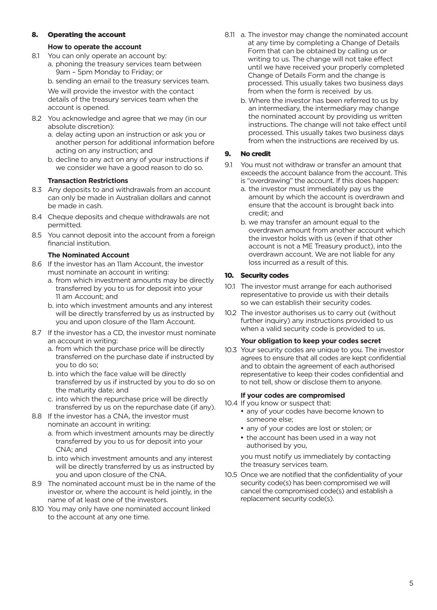#### 8. Operating the account

#### **How to operate the account**

- 8.1 You can only operate an account by:
	- a. phoning the treasury services team between 9am – 5pm Monday to Friday; or

b. sending an email to the treasury services team.

 We will provide the investor with the contact details of the treasury services team when the account is opened.

- 8.2 You acknowledge and agree that we may (in our absolute discretion):
	- a. delay acting upon an instruction or ask you or another person for additional information before acting on any instruction; and
	- b. decline to any act on any of your instructions if we consider we have a good reason to do so.

#### **Transaction Restrictions**

- 8.3 Any deposits to and withdrawals from an account can only be made in Australian dollars and cannot be made in cash.
- 8.4 Cheque deposits and cheque withdrawals are not permitted.
- 8.5 You cannot deposit into the account from a foreign financial institution.

#### **The Nominated Account**

- 8.6 If the investor has an 11am Account, the investor must nominate an account in writing:
	- a. from which investment amounts may be directly transferred by you to us for deposit into your 11 am Account; and
	- b. into which investment amounts and any interest will be directly transferred by us as instructed by you and upon closure of the 11am Account.
- 8.7 If the investor has a CD, the investor must nominate an account in writing:
	- a. from which the purchase price will be directly transferred on the purchase date if instructed by you to do so;
	- b. into which the face value will be directly transferred by us if instructed by you to do so on the maturity date; and
	- c. into which the repurchase price will be directly transferred by us on the repurchase date (if any).
- 8.8 If the investor has a CNA, the investor must nominate an account in writing:
	- a. from which investment amounts may be directly transferred by you to us for deposit into your CNA; and
	- b. into which investment amounts and any interest will be directly transferred by us as instructed by you and upon closure of the CNA.
- 8.9 The nominated account must be in the name of the investor or, where the account is held jointly, in the name of at least one of the investors.
- 8.10 You may only have one nominated account linked to the account at any one time.
- 8.11 a. The investor may change the nominated account at any time by completing a Change of Details Form that can be obtained by calling us or writing to us. The change will not take effect until we have received your properly completed Change of Details Form and the change is processed. This usually takes two business days from when the form is received by us.
	- b. Where the investor has been referred to us by an intermediary, the intermediary may change the nominated account by providing us written instructions. The change will not take effect until processed. This usually takes two business days from when the instructions are received by us.

#### 9. No credit

- 9.1 You must not withdraw or transfer an amount that exceeds the account balance from the account. This is "overdrawing" the account. If this does happen:
	- a. the investor must immediately pay us the amount by which the account is overdrawn and ensure that the account is brought back into credit; and
	- b. we may transfer an amount equal to the overdrawn amount from another account which the investor holds with us (even if that other account is not a ME Treasury product), into the overdrawn account. We are not liable for any loss incurred as a result of this.

#### 10. Security codes

- 10.1 The investor must arrange for each authorised representative to provide us with their details so we can establish their security codes.
- 10.2 The investor authorises us to carry out (without further inquiry) any instructions provided to us when a valid security code is provided to us.

#### **Your obligation to keep your codes secret**

10.3 Your security codes are unique to you. The investor agrees to ensure that all codes are kept confidential and to obtain the agreement of each authorised representative to keep their codes confidential and to not tell, show or disclose them to anyone.

#### **If your codes are compromised**

- 10.4 If you know or suspect that:
	- any of your codes have become known to someone else;
	- any of your codes are lost or stolen; or
	- the account has been used in a way not authorised by you,

you must notify us immediately by contacting the treasury services team.

10.5 Once we are notified that the confidentiality of your security code(s) has been compromised we will cancel the compromised code(s) and establish a replacement security code(s).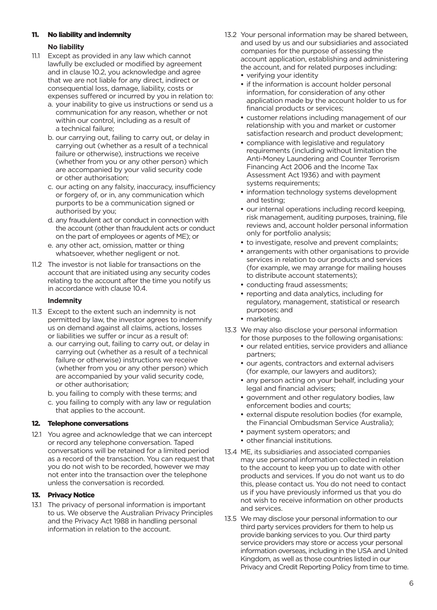#### 11. No liability and indemnity

#### **No liability**

- 11.1 Except as provided in any law which cannot lawfully be excluded or modified by agreement and in clause 10.2, you acknowledge and agree that we are not liable for any direct, indirect or consequential loss, damage, liability, costs or expenses suffered or incurred by you in relation to:
	- a. your inability to give us instructions or send us a communication for any reason, whether or not within our control, including as a result of a technical failure;
	- b. our carrying out, failing to carry out, or delay in carrying out (whether as a result of a technical failure or otherwise), instructions we receive (whether from you or any other person) which are accompanied by your valid security code or other authorisation;
	- c. our acting on any falsity, inaccuracy, insufficiency or forgery of, or in, any communication which purports to be a communication signed or authorised by you;
	- d. any fraudulent act or conduct in connection with the account (other than fraudulent acts or conduct on the part of employees or agents of ME); or
	- e. any other act, omission, matter or thing whatsoever, whether negligent or not.
- 11.2 The investor is not liable for transactions on the account that are initiated using any security codes relating to the account after the time you notify us in accordance with clause 10.4.

#### **Indemnity**

- 11.3 Except to the extent such an indemnity is not permitted by law, the investor agrees to indemnify us on demand against all claims, actions, losses or liabilities we suffer or incur as a result of:
	- a. our carrying out, failing to carry out, or delay in carrying out (whether as a result of a technical failure or otherwise) instructions we receive (whether from you or any other person) which are accompanied by your valid security code, or other authorisation;
	- b. you failing to comply with these terms; and
	- c. you failing to comply with any law or regulation that applies to the account.

#### 12. Telephone conversations

12.1 You agree and acknowledge that we can intercept or record any telephone conversation. Taped conversations will be retained for a limited period as a record of the transaction. You can request that you do not wish to be recorded, however we may not enter into the transaction over the telephone unless the conversation is recorded.

#### 13. Privacy Notice

13.1 The privacy of personal information is important to us. We observe the Australian Privacy Principles and the Privacy Act 1988 in handling personal information in relation to the account.

- 13.2 Your personal information may be shared between, and used by us and our subsidiaries and associated companies for the purpose of assessing the account application, establishing and administering the account, and for related purposes including:
	- verifying your identity
	- if the information is account holder personal information, for consideration of any other application made by the account holder to us for financial products or services;
	- customer relations including management of our relationship with you and market or customer satisfaction research and product development;
	- compliance with legislative and regulatory requirements (including without limitation the Anti-Money Laundering and Counter Terrorism Financing Act 2006 and the Income Tax Assessment Act 1936) and with payment systems requirements;
	- information technology systems development and testing;
	- our internal operations including record keeping, risk management, auditing purposes, training, file reviews and, account holder personal information only for portfolio analysis;
	- to investigate, resolve and prevent complaints;
	- arrangements with other organisations to provide services in relation to our products and services (for example, we may arrange for mailing houses to distribute account statements);
	- conducting fraud assessments;
	- reporting and data analytics, including for regulatory, management, statistical or research purposes; and
	- marketing.
- 13.3 We may also disclose your personal information for those purposes to the following organisations:
	- our related entities, service providers and alliance partners;
	- our agents, contractors and external advisers (for example, our lawyers and auditors);
	- any person acting on your behalf, including your legal and financial advisers;
	- government and other regulatory bodies, law enforcement bodies and courts;
	- external dispute resolution bodies (for example, the Financial Ombudsman Service Australia);
	- payment system operators; and
	- other financial institutions.
- 13.4 ME, its subsidiaries and associated companies may use personal information collected in relation to the account to keep you up to date with other products and services. If you do not want us to do this, please contact us. You do not need to contact us if you have previously informed us that you do not wish to receive information on other products and services.
- 13.5 We may disclose your personal information to our third party services providers for them to help us provide banking services to you. Our third party service providers may store or access your personal information overseas, including in the USA and United Kingdom, as well as those countries listed in our Privacy and Credit Reporting Policy from time to time.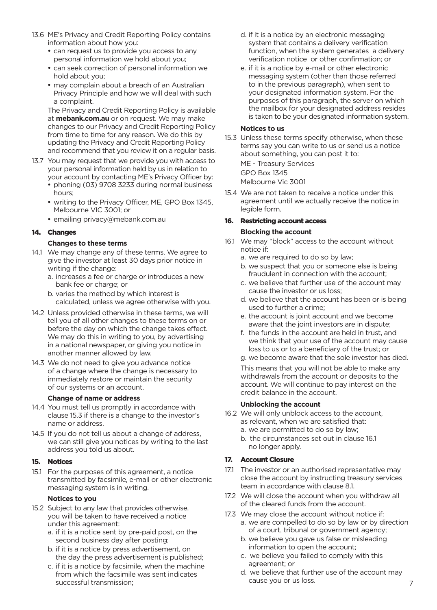- 13.6 ME's Privacy and Credit Reporting Policy contains information about how you:
	- can request us to provide you access to any personal information we hold about you;
	- can seek correction of personal information we hold about you;
	- may complain about a breach of an Australian Privacy Principle and how we will deal with such a complaint.

The Privacy and Credit Reporting Policy is available at **mebank.com.au** or on request. We may make changes to our Privacy and Credit Reporting Policy from time to time for any reason. We do this by updating the Privacy and Credit Reporting Policy and recommend that you review it on a regular basis.

- 13.7 You may request that we provide you with access to your personal information held by us in relation to your account by contacting ME's Privacy Officer by:
	- phoning (03) 9708 3233 during normal business hours;
	- writing to the Privacy Officer, ME, GPO Box 1345, Melbourne VIC 3001; or
	- emailing privacy@mebank.com.au

#### 14. Changes

#### **Changes to these terms**

- 14.1 We may change any of these terms. We agree to give the investor at least 30 days prior notice in writing if the change:
	- a. increases a fee or charge or introduces a new bank fee or charge; or
	- b. varies the method by which interest is calculated, unless we agree otherwise with you.
- 14.2 Unless provided otherwise in these terms, we will tell you of all other changes to these terms on or before the day on which the change takes effect. We may do this in writing to you, by advertising in a national newspaper, or giving you notice in another manner allowed by law.
- 14.3 We do not need to give you advance notice of a change where the change is necessary to immediately restore or maintain the security of our systems or an account.

#### **Change of name or address**

- 14.4 You must tell us promptly in accordance with clause 15.3 if there is a change to the investor's name or address.
- 14.5 If you do not tell us about a change of address, we can still give you notices by writing to the last address you told us about.

#### 15. Notices

15.1 For the purposes of this agreement, a notice transmitted by facsimile, e-mail or other electronic messaging system is in writing.

#### **Notices to you**

- 15.2 Subject to any law that provides otherwise, you will be taken to have received a notice under this agreement:
	- a. if it is a notice sent by pre-paid post, on the second business day after posting;
	- b. if it is a notice by press advertisement, on the day the press advertisement is published;
	- c. if it is a notice by facsimile, when the machine from which the facsimile was sent indicates successful transmission;
- d. if it is a notice by an electronic messaging system that contains a delivery verification function, when the system generates a delivery verification notice or other confirmation; or
- e. if it is a notice by e-mail or other electronic messaging system (other than those referred to in the previous paragraph), when sent to your designated information system. For the purposes of this paragraph, the server on which the mailbox for your designated address resides is taken to be your designated information system.

#### **Notices to us**

15.3 Unless these terms specify otherwise, when these terms say you can write to us or send us a notice about something, you can post it to:

ME - Treasury Services

GPO Box 1345

Melbourne Vic 3001

15.4 We are not taken to receive a notice under this agreement until we actually receive the notice in legible form.

#### 16. Restricting account access **Blocking the account**

- 16.1 We may "block" access to the account without notice if:
	- a. we are required to do so by law;
	- b. we suspect that you or someone else is being fraudulent in connection with the account;
	- c. we believe that further use of the account may cause the investor or us loss;
	- d. we believe that the account has been or is being used to further a crime;
	- e. the account is joint account and we become aware that the joint investors are in dispute;
	- f. the funds in the account are held in trust, and we think that your use of the account may cause loss to us or to a beneficiary of the trust; or
	- g. we become aware that the sole investor has died.

This means that you will not be able to make any withdrawals from the account or deposits to the account. We will continue to pay interest on the credit balance in the account.

#### **Unblocking the account**

- 16.2 We will only unblock access to the account, as relevant, when we are satisfied that: a. we are permitted to do so by law;
	- b. the circumstances set out in clause 16.1 no longer apply.

#### 17. Account Closure

- 17.1 The investor or an authorised representative may close the account by instructing treasury services team in accordance with clause 8.1.
- 17.2 We will close the account when you withdraw all of the cleared funds from the account.
- 17.3 We may close the account without notice if:
	- a. we are compelled to do so by law or by direction of a court, tribunal or government agency;
	- b. we believe you gave us false or misleading information to open the account;
	- c. we believe you failed to comply with this agreement; or
	- d. we believe that further use of the account may cause you or us loss.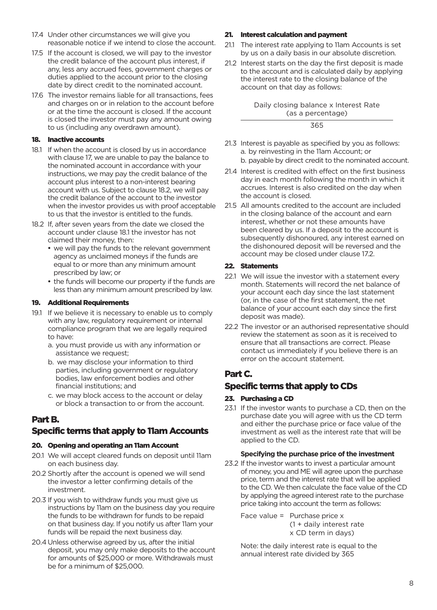- 17.4 Under other circumstances we will give you reasonable notice if we intend to close the account.
- 17.5 If the account is closed, we will pay to the investor the credit balance of the account plus interest, if any, less any accrued fees, government charges or duties applied to the account prior to the closing date by direct credit to the nominated account.
- 17.6 The investor remains liable for all transactions, fees and charges on or in relation to the account before or at the time the account is closed. If the account is closed the investor must pay any amount owing to us (including any overdrawn amount).

#### 18. Inactive accounts

- 18.1 If when the account is closed by us in accordance with clause 17, we are unable to pay the balance to the nominated account in accordance with your instructions, we may pay the credit balance of the account plus interest to a non-interest bearing account with us. Subject to clause 18.2, we will pay the credit balance of the account to the investor when the investor provides us with proof acceptable to us that the investor is entitled to the funds.
- 18.2 If, after seven years from the date we closed the account under clause 18.1 the investor has not claimed their money, then:
	- we will pay the funds to the relevant government agency as unclaimed moneys if the funds are equal to or more than any minimum amount prescribed by law; or
	- the funds will become our property if the funds are less than any minimum amount prescribed by law.

#### 19. Additional Requirements

- 19.1 If we believe it is necessary to enable us to comply with any law, regulatory requirement or internal compliance program that we are legally required to have:
	- a. you must provide us with any information or assistance we request;
	- b. we may disclose your information to third parties, including government or regulatory bodies, law enforcement bodies and other financial institutions; and
	- c. we may block access to the account or delay or block a transaction to or from the account.

# Part B.

# Specific terms that apply to 11am Accounts

#### 20. Opening and operating an 11am Account

- 20.1 We will accept cleared funds on deposit until 11am on each business day.
- 20.2 Shortly after the account is opened we will send the investor a letter confirming details of the investment.
- 20.3 If you wish to withdraw funds you must give us instructions by 11am on the business day you require the funds to be withdrawn for funds to be repaid on that business day. If you notify us after 11am your funds will be repaid the next business day.
- 20.4Unless otherwise agreed by us, after the initial deposit, you may only make deposits to the account for amounts of \$25,000 or more. Withdrawals must be for a minimum of \$25,000.

#### 21. Interest calculation and payment

- 21.1 The interest rate applying to 11am Accounts is set by us on a daily basis in our absolute discretion.
- 21.2 Interest starts on the day the first deposit is made to the account and is calculated daily by applying the interest rate to the closing balance of the account on that day as follows:

Daily closing balance x Interest Rate (as a percentage)

365

- 21.3 Interest is payable as specified by you as follows: a. by reinvesting in the 11am Account; or b. payable by direct credit to the nominated account.
- 21.4 Interest is credited with effect on the first business day in each month following the month in which it accrues. Interest is also credited on the day when the account is closed.
- 21.5 All amounts credited to the account are included in the closing balance of the account and earn interest, whether or not these amounts have been cleared by us. If a deposit to the account is subsequently dishonoured, any interest earned on the dishonoured deposit will be reversed and the account may be closed under clause 17.2.

#### 22. Statements

- 22.1 We will issue the investor with a statement every month. Statements will record the net balance of your account each day since the last statement (or, in the case of the first statement, the net balance of your account each day since the first deposit was made).
- 22.2 The investor or an authorised representative should review the statement as soon as it is received to ensure that all transactions are correct. Please contact us immediately if you believe there is an error on the account statement.

# Part C.

# Specific terms that apply to CDs

#### 23. Purchasing a CD

23.1 If the investor wants to purchase a CD, then on the purchase date you will agree with us the CD term and either the purchase price or face value of the investment as well as the interest rate that will be applied to the CD.

#### **Specifying the purchase price of the investment**

- 23.2 If the investor wants to invest a particular amount of money, you and ME will agree upon the purchase price, term and the interest rate that will be applied to the CD. We then calculate the face value of the CD by applying the agreed interest rate to the purchase price taking into account the term as follows:
	- Face value = Purchase price x (1 + daily interest rate x CD term in days)

Note: the daily interest rate is equal to the annual interest rate divided by 365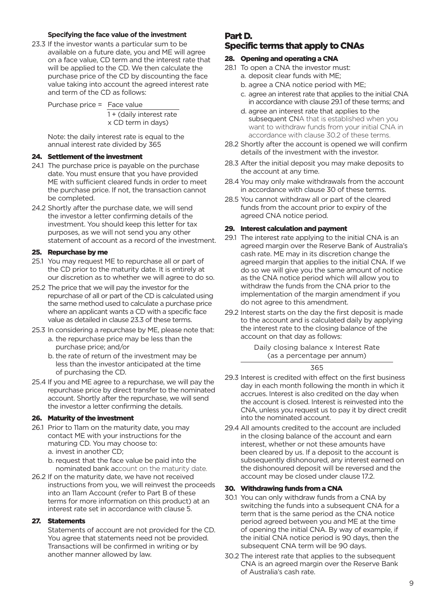#### **Specifying the face value of the investment**

23.3 If the investor wants a particular sum to be available on a future date, you and ME will agree on a face value, CD term and the interest rate that will be applied to the CD. We then calculate the purchase price of the CD by discounting the face value taking into account the agreed interest rate and term of the CD as follows:

Purchase price = Face value 1 + (daily interest rate x CD term in days)

Note: the daily interest rate is equal to the annual interest rate divided by 365

#### 24. Settlement of the investment

- 24.1 The purchase price is payable on the purchase date. You must ensure that you have provided ME with sufficient cleared funds in order to meet the purchase price. If not, the transaction cannot be completed.
- 24.2 Shortly after the purchase date, we will send the investor a letter confirming details of the investment. You should keep this letter for tax purposes, as we will not send you any other statement of account as a record of the investment.

#### 25. Repurchase by me

- 25.1 You may request ME to repurchase all or part of the CD prior to the maturity date. It is entirely at our discretion as to whether we will agree to do so.
- 25.2 The price that we will pay the investor for the repurchase of all or part of the CD is calculated using the same method used to calculate a purchase price where an applicant wants a CD with a specific face value as detailed in clause 23.3 of these terms.
- 25.3 In considering a repurchase by ME, please note that:
	- a. the repurchase price may be less than the purchase price; and/or
	- b. the rate of return of the investment may be less than the investor anticipated at the time of purchasing the CD.
- 25.4 If you and ME agree to a repurchase, we will pay the repurchase price by direct transfer to the nominated account. Shortly after the repurchase, we will send the investor a letter confirming the details.

#### 26. Maturity of the investment

26.1 Prior to 11am on the maturity date, you may contact ME with your instructions for the maturing CD. You may choose to: a. invest in another CD;

b. request that the face value be paid into the nominated bank account on the maturity date.

26.2 If on the maturity date, we have not received instructions from you, we will reinvest the proceeds into an 11am Account (refer to Part B of these terms for more information on this product) at an interest rate set in accordance with clause 5.

#### 27. Statements

Statements of account are not provided for the CD. You agree that statements need not be provided. Transactions will be confirmed in writing or by another manner allowed by law.

## Part D. Specific terms that apply to CNAs

#### 28. Opening and operating a CNA

- 28.1 To open a CNA the investor must:
	- a. deposit clear funds with ME;
	- b. agree a CNA notice period with ME;
	- c. agree an interest rate that applies to the initial CNA in accordance with clause 29.1 of these terms; and
	- d. agree an interest rate that applies to the subsequent CNA that is established when you want to withdraw funds from your initial CNA in accordance with clause 30.2 of these terms.
- 28.2 Shortly after the account is opened we will confirm details of the investment with the investor.
- 28.3 After the initial deposit you may make deposits to the account at any time.
- 28.4 You may only make withdrawals from the account in accordance with clause 30 of these terms.
- 28.5 You cannot withdraw all or part of the cleared funds from the account prior to expiry of the agreed CNA notice period.

#### 29. Interest calculation and payment

- 29.1 The interest rate applying to the initial CNA is an agreed margin over the Reserve Bank of Australia's cash rate. ME may in its discretion change the agreed margin that applies to the initial CNA. If we do so we will give you the same amount of notice as the CNA notice period which will allow you to withdraw the funds from the CNA prior to the implementation of the margin amendment if you do not agree to this amendment.
- 29.2 Interest starts on the day the first deposit is made to the account and is calculated daily by applying the interest rate to the closing balance of the account on that day as follows:

Daily closing balance x Interest Rate (as a percentage per annum)

#### 365

- 29.3 Interest is credited with effect on the first business day in each month following the month in which it accrues. Interest is also credited on the day when the account is closed. Interest is reinvested into the CNA, unless you request us to pay it by direct credit into the nominated account.
- 29.4 All amounts credited to the account are included in the closing balance of the account and earn interest, whether or not these amounts have been cleared by us. If a deposit to the account is subsequently dishonoured, any interest earned on the dishonoured deposit will be reversed and the account may be closed under clause 17.2.

#### 30. Withdrawing funds from a CNA

- 30.1 You can only withdraw funds from a CNA by switching the funds into a subsequent CNA for a term that is the same period as the CNA notice period agreed between you and ME at the time of opening the initial CNA. By way of example, if the initial CNA notice period is 90 days, then the subsequent CNA term will be 90 days.
- 30.2 The interest rate that applies to the subsequent CNA is an agreed margin over the Reserve Bank of Australia's cash rate.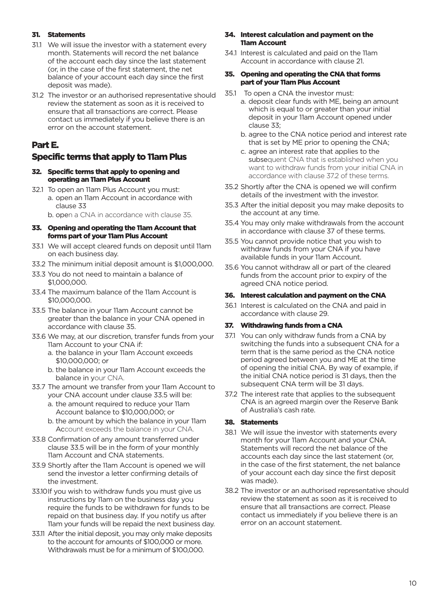#### 31. Statements

- 31.1 We will issue the investor with a statement every month. Statements will record the net balance of the account each day since the last statement (or, in the case of the first statement, the net balance of your account each day since the first deposit was made).
- 31.2 The investor or an authorised representative should review the statement as soon as it is received to ensure that all transactions are correct. Please contact us immediately if you believe there is an error on the account statement.

### Part E.

# Specific terms that apply to 11am Plus

#### 32. Specific terms that apply to opening and operating an 11am Plus Account

- 32.1 To open an 11am Plus Account you must: a. open an 11am Account in accordance with clause 33
	- b. open a CNA in accordance with clause 35.

#### 33. Opening and operating the 11am Account that forms part of your 11am Plus Account

- 33.1 We will accept cleared funds on deposit until 11am on each business day.
- 33.2 The minimum initial deposit amount is \$1,000,000.
- 33.3 You do not need to maintain a balance of \$1,000,000.
- 33.4 The maximum balance of the 11am Account is \$10,000,000.
- 33.5 The balance in your 11am Account cannot be greater than the balance in your CNA opened in accordance with clause 35.
- 33.6 We may, at our discretion, transfer funds from your 11am Account to your CNA if:
	- a. the balance in your 11am Account exceeds \$10,000,000; or
	- b. the balance in your 11am Account exceeds the balance in your CNA.
- 33.7 The amount we transfer from your 11am Account to your CNA account under clause 33.5 will be:
	- a. the amount required to reduce your 11am Account balance to \$10,000,000; or
	- b. the amount by which the balance in your 11am Account exceeds the balance in your CNA.
- 33.8 Confirmation of any amount transferred under clause 33.5 will be in the form of your monthly 11am Account and CNA statements.
- 33.9 Shortly after the 11am Account is opened we will send the investor a letter confirming details of the investment.
- 33.10If you wish to withdraw funds you must give us instructions by 11am on the business day you require the funds to be withdrawn for funds to be repaid on that business day. If you notify us after 11am your funds will be repaid the next business day.
- 33.11 After the initial deposit, you may only make deposits to the account for amounts of \$100,000 or more. Withdrawals must be for a minimum of \$100,000.

#### 34. Interest calculation and payment on the 11am Account

34.1 Interest is calculated and paid on the 11am Account in accordance with clause 21.

#### 35. Opening and operating the CNA that forms part of your 11am Plus Account

- 35.1 To open a CNA the investor must:
	- a. deposit clear funds with ME, being an amount which is equal to or greater than your initial deposit in your 11am Account opened under clause 33;
	- b. agree to the CNA notice period and interest rate that is set by ME prior to opening the CNA;
	- c. agree an interest rate that applies to the subsequent CNA that is established when you want to withdraw funds from your initial CNA in accordance with clause 37.2 of these terms.
- 35.2 Shortly after the CNA is opened we will confirm details of the investment with the investor.
- 35.3 After the initial deposit you may make deposits to the account at any time.
- 35.4 You may only make withdrawals from the account in accordance with clause 37 of these terms.
- 35.5 You cannot provide notice that you wish to withdraw funds from your CNA if you have available funds in your 11am Account.
- 35.6 You cannot withdraw all or part of the cleared funds from the account prior to expiry of the agreed CNA notice period.

#### 36. Interest calculation and payment on the CNA

36.1 Interest is calculated on the CNA and paid in accordance with clause 29.

#### 37. Withdrawing funds from a CNA

- 37.1 You can only withdraw funds from a CNA by switching the funds into a subsequent CNA for a term that is the same period as the CNA notice period agreed between you and ME at the time of opening the initial CNA. By way of example, if the initial CNA notice period is 31 days, then the subsequent CNA term will be 31 days.
- 37.2 The interest rate that applies to the subsequent CNA is an agreed margin over the Reserve Bank of Australia's cash rate.

#### 38. Statements

- 38.1 We will issue the investor with statements every month for your 11am Account and your CNA. Statements will record the net balance of the accounts each day since the last statement (or, in the case of the first statement, the net balance of your account each day since the first deposit was made).
- 38.2 The investor or an authorised representative should review the statement as soon as it is received to ensure that all transactions are correct. Please contact us immediately if you believe there is an error on an account statement.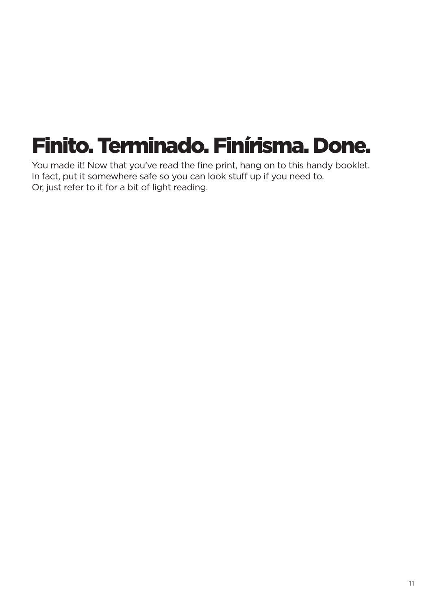# Finito. Terminado. Finírisma. Done.

You made it! Now that you've read the fine print, hang on to this handy booklet. In fact, put it somewhere safe so you can look stuff up if you need to. Or, just refer to it for a bit of light reading.